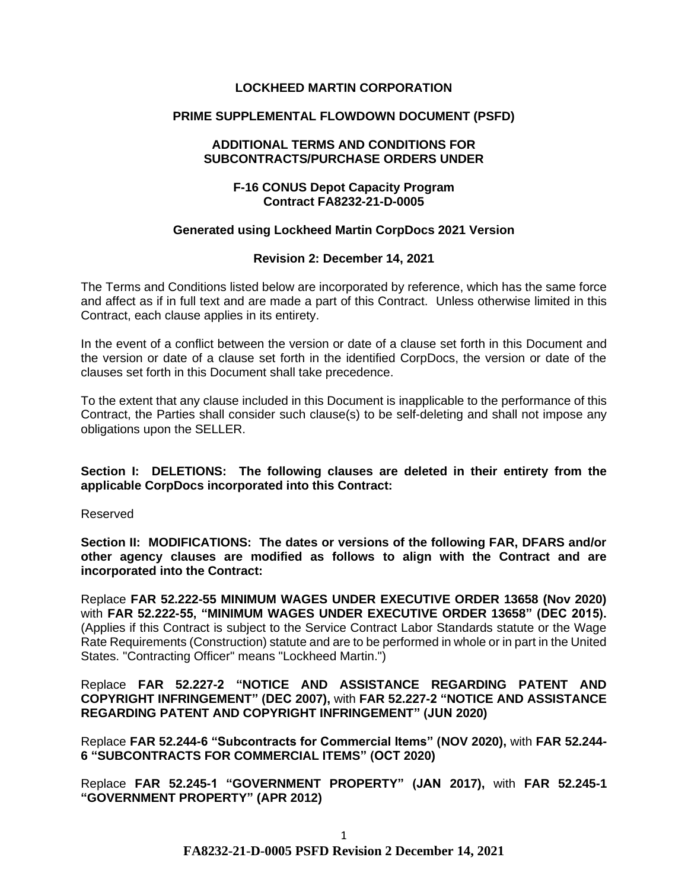## **LOCKHEED MARTIN CORPORATION**

## **PRIME SUPPLEMENTAL FLOWDOWN DOCUMENT (PSFD)**

#### **ADDITIONAL TERMS AND CONDITIONS FOR SUBCONTRACTS/PURCHASE ORDERS UNDER**

## **F-16 CONUS Depot Capacity Program Contract FA8232-21-D-0005**

#### **Generated using Lockheed Martin CorpDocs 2021 Version**

## **Revision 2: December 14, 2021**

The Terms and Conditions listed below are incorporated by reference, which has the same force and affect as if in full text and are made a part of this Contract. Unless otherwise limited in this Contract, each clause applies in its entirety.

In the event of a conflict between the version or date of a clause set forth in this Document and the version or date of a clause set forth in the identified CorpDocs, the version or date of the clauses set forth in this Document shall take precedence.

To the extent that any clause included in this Document is inapplicable to the performance of this Contract, the Parties shall consider such clause(s) to be self-deleting and shall not impose any obligations upon the SELLER.

**Section I: DELETIONS: The following clauses are deleted in their entirety from the applicable CorpDocs incorporated into this Contract:**

Reserved

**Section II: MODIFICATIONS: The dates or versions of the following FAR, DFARS and/or other agency clauses are modified as follows to align with the Contract and are incorporated into the Contract:**

Replace **FAR 52.222-55 MINIMUM WAGES UNDER EXECUTIVE ORDER 13658 (Nov 2020)**  with **FAR 52.222-55, "MINIMUM WAGES UNDER EXECUTIVE ORDER 13658" (DEC 2015).**  (Applies if this Contract is subject to the Service Contract Labor Standards statute or the Wage Rate Requirements (Construction) statute and are to be performed in whole or in part in the United States. "Contracting Officer" means "Lockheed Martin.")

Replace **FAR 52.227-2 "NOTICE AND ASSISTANCE REGARDING PATENT AND COPYRIGHT INFRINGEMENT" (DEC 2007),** with **FAR 52.227-2 "NOTICE AND ASSISTANCE REGARDING PATENT AND COPYRIGHT INFRINGEMENT" (JUN 2020)** 

Replace **FAR 52.244-6 "Subcontracts for Commercial Items" (NOV 2020),** with **FAR 52.244- 6 "SUBCONTRACTS FOR COMMERCIAL ITEMS" (OCT 2020)**

Replace **FAR 52.245-1 "GOVERNMENT PROPERTY" (JAN 2017),** with **FAR 52.245-1 "GOVERNMENT PROPERTY" (APR 2012)**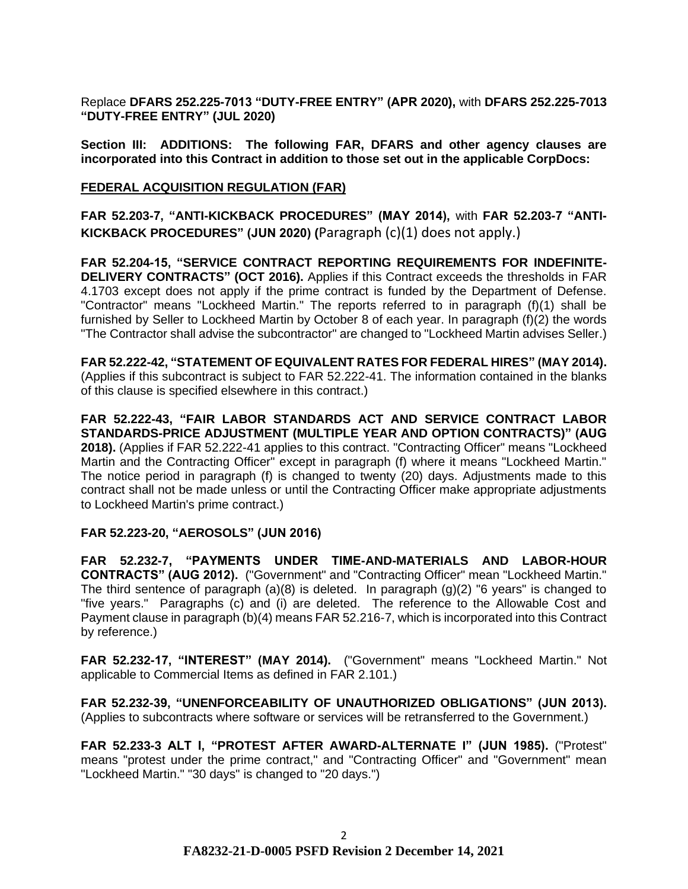Replace **DFARS 252.225-7013 "DUTY-FREE ENTRY" (APR 2020),** with **DFARS 252.225-7013 "DUTY-FREE ENTRY" (JUL 2020)**

**Section III: ADDITIONS: The following FAR, DFARS and other agency clauses are incorporated into this Contract in addition to those set out in the applicable CorpDocs:**

#### **[FEDERAL ACQUISITION REGULATION \(](https://www.acquisition.gov/browsefar)FAR)**

**FAR 52.203-7, "ANTI-KICKBACK PROCEDURES" (MAY 2014),** with **FAR 52.203-7 "ANTI-KICKBACK PROCEDURES" (JUN 2020) (**Paragraph (c)(1) does not apply.)

**FAR 52.204-15, "SERVICE CONTRACT REPORTING REQUIREMENTS FOR INDEFINITE-DELIVERY CONTRACTS" (OCT 2016).** Applies if this Contract exceeds the thresholds in FAR 4.1703 except does not apply if the prime contract is funded by the Department of Defense. "Contractor" means "Lockheed Martin." The reports referred to in paragraph (f)(1) shall be furnished by Seller to Lockheed Martin by October 8 of each year. In paragraph (f)(2) the words "The Contractor shall advise the subcontractor" are changed to "Lockheed Martin advises Seller.)

**FAR 52.222-42, "STATEMENT OF EQUIVALENT RATES FOR FEDERAL HIRES" (MAY 2014).**  (Applies if this subcontract is subject to FAR 52.222-41. The information contained in the blanks of this clause is specified elsewhere in this contract.)

**FAR 52.222-43, "FAIR LABOR STANDARDS ACT AND SERVICE CONTRACT LABOR STANDARDS-PRICE ADJUSTMENT (MULTIPLE YEAR AND OPTION CONTRACTS)" (AUG 2018).** (Applies if FAR 52.222-41 applies to this contract. "Contracting Officer" means "Lockheed Martin and the Contracting Officer" except in paragraph (f) where it means "Lockheed Martin." The notice period in paragraph (f) is changed to twenty (20) days. Adjustments made to this contract shall not be made unless or until the Contracting Officer make appropriate adjustments to Lockheed Martin's prime contract.)

# **FAR 52.223-20, "AEROSOLS" (JUN 2016)**

**FAR 52.232-7, "PAYMENTS UNDER TIME-AND-MATERIALS AND LABOR-HOUR CONTRACTS" (AUG 2012).** ("Government" and "Contracting Officer" mean "Lockheed Martin." The third sentence of paragraph  $(a)(8)$  is deleted. In paragraph  $(q)(2)$  "6 years" is changed to "five years." Paragraphs (c) and (i) are deleted. The reference to the Allowable Cost and Payment clause in paragraph (b)(4) means FAR 52.216-7, which is incorporated into this Contract by reference.)

**FAR 52.232-17, "INTEREST" (MAY 2014).** ("Government" means "Lockheed Martin." Not applicable to Commercial Items as defined in FAR 2.101.)

**FAR 52.232-39, "UNENFORCEABILITY OF UNAUTHORIZED OBLIGATIONS" (JUN 2013).** (Applies to subcontracts where software or services will be retransferred to the Government.)

**FAR 52.233-3 ALT I, "PROTEST AFTER AWARD-ALTERNATE I" (JUN 1985).** ("Protest" means "protest under the prime contract," and "Contracting Officer" and "Government" mean "Lockheed Martin." "30 days" is changed to "20 days.")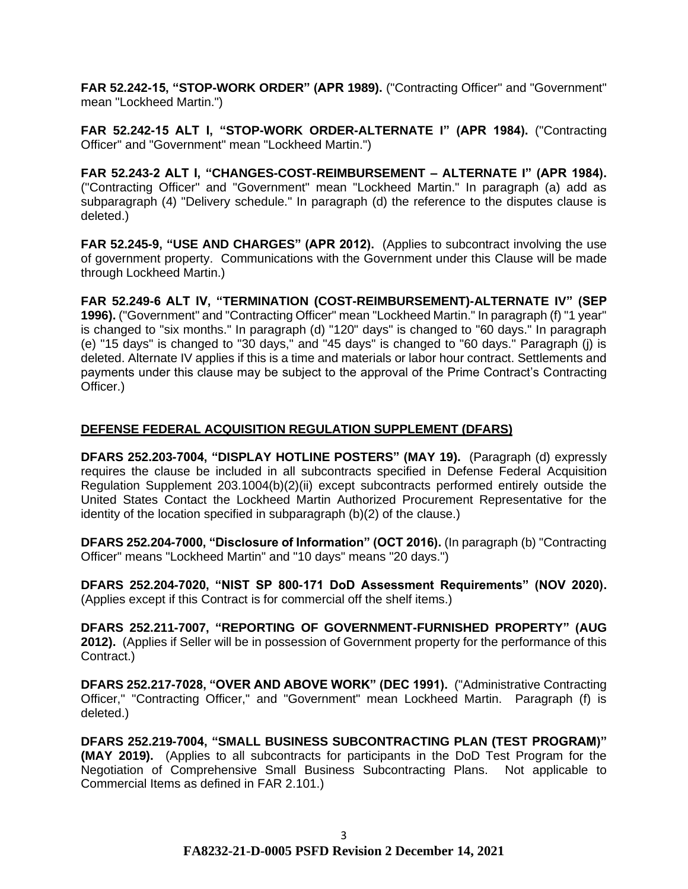**FAR 52.242-15, "STOP-WORK ORDER" (APR 1989).** ("Contracting Officer" and "Government" mean "Lockheed Martin.")

**FAR 52.242-15 ALT I, "STOP-WORK ORDER-ALTERNATE I" (APR 1984).** ("Contracting Officer" and "Government" mean "Lockheed Martin.")

**FAR 52.243-2 ALT I, "CHANGES-COST-REIMBURSEMENT – ALTERNATE I" (APR 1984).**  ("Contracting Officer" and "Government" mean "Lockheed Martin." In paragraph (a) add as subparagraph (4) "Delivery schedule." In paragraph (d) the reference to the disputes clause is deleted.)

**FAR 52.245-9, "USE AND CHARGES" (APR 2012).** (Applies to subcontract involving the use of government property. Communications with the Government under this Clause will be made through Lockheed Martin.)

**FAR 52.249-6 ALT IV, "TERMINATION (COST-REIMBURSEMENT)-ALTERNATE IV" (SEP 1996).** ("Government" and "Contracting Officer" mean "Lockheed Martin." In paragraph (f) "1 year" is changed to "six months." In paragraph (d) "120" days" is changed to "60 days." In paragraph (e) "15 days" is changed to "30 days," and "45 days" is changed to "60 days." Paragraph (j) is deleted. Alternate IV applies if this is a time and materials or labor hour contract. Settlements and payments under this clause may be subject to the approval of the Prime Contract's Contracting Officer.)

# **DEFENSE FEDERAL ACQUISITION REGULATION SUPPLEMENT (DFARS)**

**DFARS 252.203-7004, "DISPLAY HOTLINE POSTERS" (MAY 19).** (Paragraph (d) expressly requires the clause be included in all subcontracts specified in Defense Federal Acquisition Regulation Supplement 203.1004(b)(2)(ii) except subcontracts performed entirely outside the United States Contact the Lockheed Martin Authorized Procurement Representative for the identity of the location specified in subparagraph (b)(2) of the clause.)

**DFARS 252.204-7000, "Disclosure of Information" (OCT 2016).** (In paragraph (b) "Contracting Officer" means "Lockheed Martin" and "10 days" means "20 days.")

**DFARS 252.204-7020, "NIST SP 800-171 DoD Assessment Requirements" (NOV 2020).**  (Applies except if this Contract is for commercial off the shelf items.)

**DFARS 252.211-7007, "REPORTING OF GOVERNMENT-FURNISHED PROPERTY" (AUG 2012).** (Applies if Seller will be in possession of Government property for the performance of this Contract.)

**DFARS 252.217-7028, "OVER AND ABOVE WORK" (DEC 1991).** ("Administrative Contracting Officer," "Contracting Officer," and "Government" mean Lockheed Martin. Paragraph (f) is deleted.)

**DFARS 252.219-7004, "SMALL BUSINESS SUBCONTRACTING PLAN (TEST PROGRAM)" (MAY 2019).** (Applies to all subcontracts for participants in the DoD Test Program for the Negotiation of Comprehensive Small Business Subcontracting Plans. Not applicable to Commercial Items as defined in FAR 2.101.)